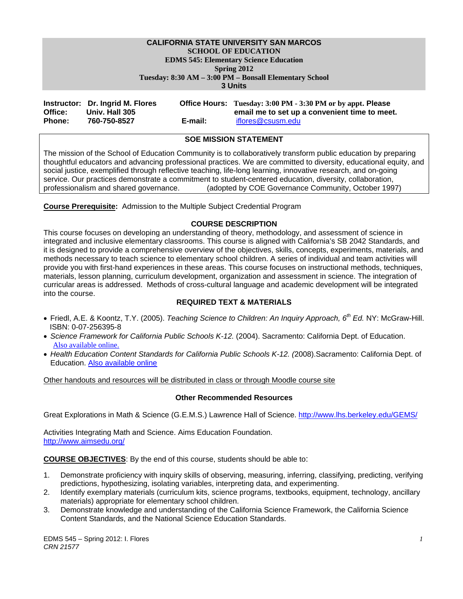# **CALIFORNIA STATE UNIVERSITY SAN MARCOS SCHOOL OF EDUCATION EDMS 545: Elementary Science Education**

 **Tuesday: 8:30 AM – 3:00 PM – Bonsall Elementary School Spring 2012** 

**3 Units** 

|               | Instructor: Dr. Ingrid M. Flores |         | Office Hours: Tuesday: 3:00 PM - 3:30 PM or by appt. Please |
|---------------|----------------------------------|---------|-------------------------------------------------------------|
| Office:       | Univ. Hall 305                   |         | email me to set up a convenient time to meet.               |
| <b>Phone:</b> | 760-750-8527                     | E-mail: | iflores@csusm.edu                                           |

# **SOE MISSION STATEMENT**

The mission of the School of Education Community is to collaboratively transform public education by preparing thoughtful educators and advancing professional practices. We are committed to diversity, educational equity, and social justice, exemplified through reflective teaching, life-long learning, innovative research, and on-going service. Our practices demonstrate a commitment to student-centered education, diversity, collaboration, professionalism and shared governance. (adopted by COE Governance Community, October 1997)

**Course Prerequisite:** Admission to the Multiple Subject Credential Program

### **COURSE DESCRIPTION**

This course focuses on developing an understanding of theory, methodology, and assessment of science in integrated and inclusive elementary classrooms. This course is aligned with California's SB 2042 Standards, and it is designed to provide a comprehensive overview of the objectives, skills, concepts, experiments, materials, and methods necessary to teach science to elementary school children. A series of individual and team activities will provide you with first-hand experiences in these areas. This course focuses on instructional methods, techniques, materials, lesson planning, curriculum development, organization and assessment in science. The integration of curricular areas is addressed. Methods of cross-cultural language and academic development will be integrated into the course.

### **REQUIRED TEXT & MATERIALS**

- Friedl, A.E. & Koontz, T.Y. (2005). *Teaching Science to Children: An Inquiry Approach, 6th Ed.* NY: McGraw-Hill. ISBN: 0-07-256395-8
- *Science Framework for California Public Schools K-12.* (2004). Sacramento: California Dept. of Education. Also available online.
- *Health Education Content Standards for California Public Schools K-12. (*2008).Sacramento: California Dept. of Education. Also available online

Other handouts and resources will be distributed in class or through Moodle course site

### **Other Recommended Resources**

Great Explorations in Math & Science (G.E.M.S.) Lawrence Hall of Science. http://www.lhs.berkeley.edu/GEMS/

Activities Integrating Math and Science. Aims Education Foundation. http://www.aimsedu.org/

**COURSE OBJECTIVES**: By the end of this course, students should be able to:

- 1. Demonstrate proficiency with inquiry skills of observing, measuring, inferring, classifying, predicting, verifying predictions, hypothesizing, isolating variables, interpreting data, and experimenting.
- 2. Identify exemplary materials (curriculum kits, science programs, textbooks, equipment, technology, ancillary materials) appropriate for elementary school children.
- 3. Demonstrate knowledge and understanding of the California Science Framework, the California Science Content Standards, and the National Science Education Standards.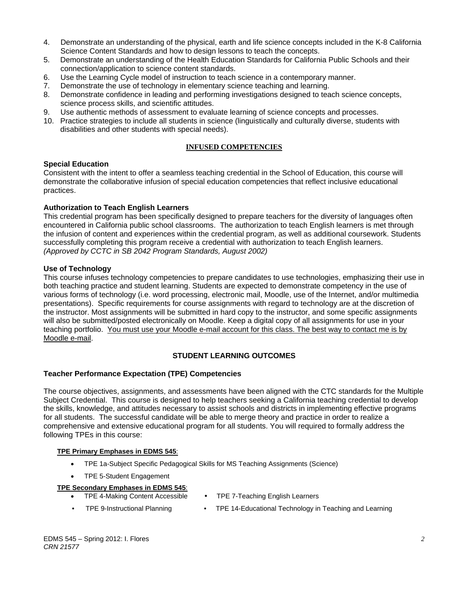- 4. Demonstrate an understanding of the physical, earth and life science concepts included in the K-8 California Science Content Standards and how to design lessons to teach the concepts.
- 5. Demonstrate an understanding of the Health Education Standards for California Public Schools and their connection/application to science content standards.
- 6. Use the Learning Cycle model of instruction to teach science in a contemporary manner.
- 7. Demonstrate the use of technology in elementary science teaching and learning.
- 8. Demonstrate confidence in leading and performing investigations designed to teach science concepts, science process skills, and scientific attitudes.
- 9. Use authentic methods of assessment to evaluate learning of science concepts and processes.
- 10. Practice strategies to include all students in science (linguistically and culturally diverse, students with disabilities and other students with special needs).

### **INFUSED COMPETENCIES**

### **Special Education**

Consistent with the intent to offer a seamless teaching credential in the School of Education, this course will demonstrate the collaborative infusion of special education competencies that reflect inclusive educational practices.

### **Authorization to Teach English Learners**

This credential program has been specifically designed to prepare teachers for the diversity of languages often encountered in California public school classrooms. The authorization to teach English learners is met through the infusion of content and experiences within the credential program, as well as additional coursework. Students successfully completing this program receive a credential with authorization to teach English learners. *(Approved by CCTC in SB 2042 Program Standards, August 2002)* 

### **Use of Technology**

This course infuses technology competencies to prepare candidates to use technologies, emphasizing their use in both teaching practice and student learning. Students are expected to demonstrate competency in the use of various forms of technology (i.e. word processing, electronic mail, Moodle, use of the Internet, and/or multimedia presentations). Specific requirements for course assignments with regard to technology are at the discretion of the instructor. Most assignments will be submitted in hard copy to the instructor, and some specific assignments will also be submitted/posted electronically on Moodle. Keep a digital copy of all assignments for use in your teaching portfolio. You must use your Moodle e-mail account for this class. The best way to contact me is by Moodle e-mail.

### **STUDENT LEARNING OUTCOMES**

### **Teacher Performance Expectation (TPE) Competencies**

The course objectives, assignments, and assessments have been aligned with the CTC standards for the Multiple Subject Credential. This course is designed to help teachers seeking a California teaching credential to develop the skills, knowledge, and attitudes necessary to assist schools and districts in implementing effective programs for all students. The successful candidate will be able to merge theory and practice in order to realize a comprehensive and extensive educational program for all students. You will required to formally address the following TPEs in this course:

#### **TPE Primary Emphases in EDMS 545**:

- TPE 1a-Subject Specific Pedagogical Skills for MS Teaching Assignments (Science)
- TPE 5-Student Engagement

#### **TPE Secondary Emphases in EDMS 545**:

- TPE 7-Teaching English Learners • TPE 4-Making Content Accessible
- TPE 9-Instructional Planning TPE 14-Educational Technology in Teaching and Learning
- 
- EDMS 545 Spring 2012: I. Flores *CRN 21577*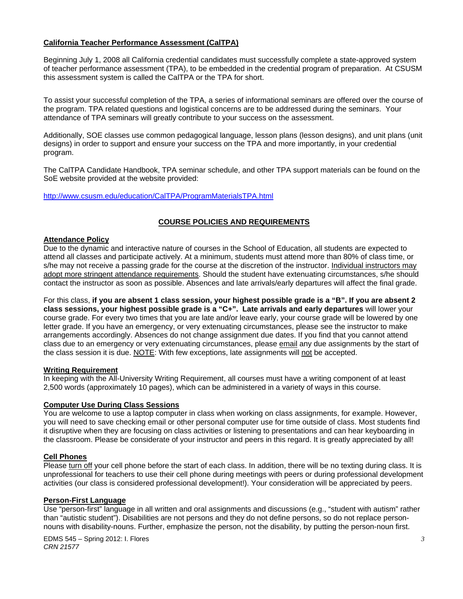### **California Teacher Performance Assessment (CalTPA)**

Beginning July 1, 2008 all California credential candidates must successfully complete a state-approved system of teacher performance assessment (TPA), to be embedded in the credential program of preparation. At CSUSM this assessment system is called the CalTPA or the TPA for short.

To assist your successful completion of the TPA, a series of informational seminars are offered over the course of the program. TPA related questions and logistical concerns are to be addressed during the seminars. Your attendance of TPA seminars will greatly contribute to your success on the assessment.

Additionally, SOE classes use common pedagogical language, lesson plans (lesson designs), and unit plans (unit designs) in order to support and ensure your success on the TPA and more importantly, in your credential program.

The CalTPA Candidate Handbook, TPA seminar schedule, and other TPA support materials can be found on the SoE website provided at the website provided:

http://www.csusm.edu/education/CalTPA/ProgramMaterialsTPA.html

# **COURSE POLICIES AND REQUIREMENTS**

### **Attendance Policy**

Due to the dynamic and interactive nature of courses in the School of Education, all students are expected to attend all classes and participate actively. At a minimum, students must attend more than 80% of class time, or s/he may not receive a passing grade for the course at the discretion of the instructor. Individual instructors may adopt more stringent attendance requirements. Should the student have extenuating circumstances, s/he should contact the instructor as soon as possible. Absences and late arrivals/early departures will affect the final grade.

For this class, **if you are absent 1 class session, your highest possible grade is a "B". If you are absent 2 class sessions, your highest possible grade is a "C+". Late arrivals and early departures** will lower your course grade. For every two times that you are late and/or leave early, your course grade will be lowered by one letter grade. If you have an emergency, or very extenuating circumstances, please see the instructor to make arrangements accordingly. Absences do not change assignment due dates. If you find that you cannot attend class due to an emergency or very extenuating circumstances, please email any due assignments by the start of the class session it is due. NOTE: With few exceptions, late assignments will not be accepted.

#### **Writing Requirement**

In keeping with the All-University Writing Requirement, all courses must have a writing component of at least 2,500 words (approximately 10 pages), which can be administered in a variety of ways in this course.

#### **Computer Use During Class Sessions**

You are welcome to use a laptop computer in class when working on class assignments, for example. However, you will need to save checking email or other personal computer use for time outside of class. Most students find it disruptive when they are focusing on class activities or listening to presentations and can hear keyboarding in the classroom. Please be considerate of your instructor and peers in this regard. It is greatly appreciated by all!

#### **Cell Phones**

Please turn off your cell phone before the start of each class. In addition, there will be no texting during class. It is unprofessional for teachers to use their cell phone during meetings with peers or during professional development activities (our class is considered professional development!). Your consideration will be appreciated by peers.

#### **Person-First Language**

Use "person-first" language in all written and oral assignments and discussions (e.g., "student with autism" rather than "autistic student"). Disabilities are not persons and they do not define persons, so do not replace personnouns with disability-nouns. Further, emphasize the person, not the disability, by putting the person-noun first.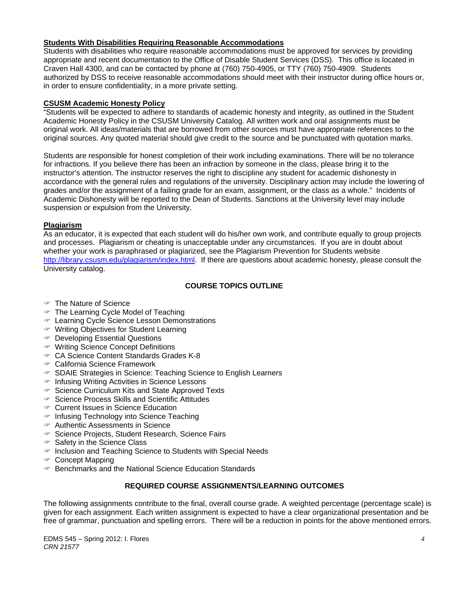### **Students With Disabilities Requiring Reasonable Accommodations**

Students with disabilities who require reasonable accommodations must be approved for services by providing appropriate and recent documentation to the Office of Disable Student Services (DSS). This office is located in Craven Hall 4300, and can be contacted by phone at (760) 750-4905, or TTY (760) 750-4909. Students authorized by DSS to receive reasonable accommodations should meet with their instructor during office hours or, in order to ensure confidentiality, in a more private setting.

### **CSUSM Academic Honesty Policy**

"Students will be expected to adhere to standards of academic honesty and integrity, as outlined in the Student Academic Honesty Policy in the CSUSM University Catalog. All written work and oral assignments must be original work. All ideas/materials that are borrowed from other sources must have appropriate references to the original sources. Any quoted material should give credit to the source and be punctuated with quotation marks.

Students are responsible for honest completion of their work including examinations. There will be no tolerance for infractions. If you believe there has been an infraction by someone in the class, please bring it to the instructor's attention. The instructor reserves the right to discipline any student for academic dishonesty in accordance with the general rules and regulations of the university. Disciplinary action may include the lowering of grades and/or the assignment of a failing grade for an exam, assignment, or the class as a whole." Incidents of Academic Dishonesty will be reported to the Dean of Students. Sanctions at the University level may include suspension or expulsion from the University.

### **Plagiarism**

As an educator, it is expected that each student will do his/her own work, and contribute equally to group projects and processes. Plagiarism or cheating is unacceptable under any circumstances. If you are in doubt about whether your work is paraphrased or plagiarized, see the Plagiarism Prevention for Students website http://library.csusm.edu/plagiarism/index.html. If there are questions about academic honesty, please consult the University catalog.

# **COURSE TOPICS OUTLINE**

- The Nature of Science
- The Learning Cycle Model of Teaching
- Learning Cycle Science Lesson Demonstrations
- Writing Objectives for Student Learning
- Developing Essential Questions
- Writing Science Concept Definitions
- CA Science Content Standards Grades K-8
- California Science Framework
- $\in$  SDAIE Strategies in Science: Teaching Science to English Learners
- $\in$  Infusing Writing Activities in Science Lessons
- $\infty$  Science Curriculum Kits and State Approved Texts
- $\in$  Science Process Skills and Scientific Attitudes
- Current Issues in Science Education
- $\in$  Infusing Technology into Science Teaching
- Authentic Assessments in Science
- Science Projects, Student Research, Science Fairs
- $\in$  Safety in the Science Class
- $\epsilon$  Inclusion and Teaching Science to Students with Special Needs
- $\infty$  Concept Mapping
- Benchmarks and the National Science Education Standards

## **REQUIRED COURSE ASSIGNMENTS/LEARNING OUTCOMES**

The following assignments contribute to the final, overall course grade. A weighted percentage (percentage scale) is given for each assignment. Each written assignment is expected to have a clear organizational presentation and be free of grammar, punctuation and spelling errors. There will be a reduction in points for the above mentioned errors.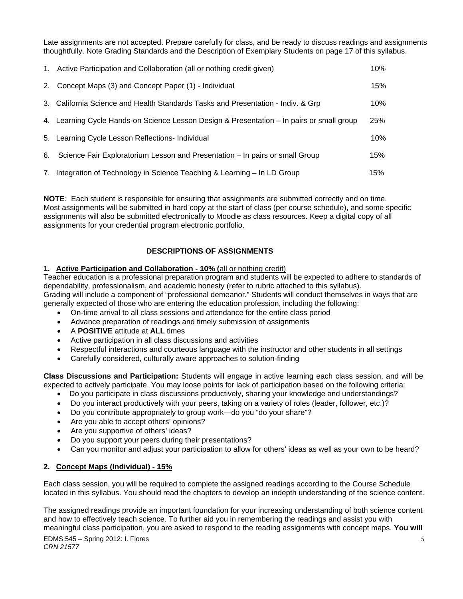Late assignments are not accepted. Prepare carefully for class, and be ready to discuss readings and assignments thoughtfully. Note Grading Standards and the Description of Exemplary Students on page 17 of this syllabus.

| 1. Active Participation and Collaboration (all or nothing credit given)                   | 10% |
|-------------------------------------------------------------------------------------------|-----|
| 2. Concept Maps (3) and Concept Paper (1) - Individual                                    | 15% |
| 3. California Science and Health Standards Tasks and Presentation - Indiv. & Grp          | 10% |
| 4. Learning Cycle Hands-on Science Lesson Design & Presentation – In pairs or small group | 25% |
| 5. Learning Cycle Lesson Reflections- Individual                                          | 10% |
| 6. Science Fair Exploratorium Lesson and Presentation - In pairs or small Group           | 15% |
| 7. Integration of Technology in Science Teaching & Learning – In LD Group                 | 15% |

**NOTE***:* Each student is responsible for ensuring that assignments are submitted correctly and on time. Most assignments will be submitted in hard copy at the start of class (per course schedule), and some specific assignments will also be submitted electronically to Moodle as class resources. Keep a digital copy of all assignments for your credential program electronic portfolio.

# **DESCRIPTIONS OF ASSIGNMENTS**

### **1. Active Participation and Collaboration - 10% (**all or nothing credit)

Teacher education is a professional preparation program and students will be expected to adhere to standards of dependability, professionalism, and academic honesty (refer to rubric attached to this syllabus). Grading will include a component of "professional demeanor." Students will conduct themselves in ways that are generally expected of those who are entering the education profession, including the following:

- On-time arrival to all class sessions and attendance for the entire class period
- Advance preparation of readings and timely submission of assignments
- A **POSITIVE** attitude at **ALL** times
- Active participation in all class discussions and activities
- Respectful interactions and courteous language with the instructor and other students in all settings
- Carefully considered, culturally aware approaches to solution-finding

**Class Discussions and Participation:** Students will engage in active learning each class session, and will be expected to actively participate. You may loose points for lack of participation based on the following criteria:

- Do you participate in class discussions productively, sharing your knowledge and understandings?
- Do you interact productively with your peers, taking on a variety of roles (leader, follower, etc.)?
- Do you contribute appropriately to group work—do you "do your share"?
- Are you able to accept others' opinions?
- Are you supportive of others' ideas?
- Do you support your peers during their presentations?
- Can you monitor and adjust your participation to allow for others' ideas as well as your own to be heard?

### **2. Concept Maps (Individual) - 15%**

Each class session, you will be required to complete the assigned readings according to the Course Schedule located in this syllabus. You should read the chapters to develop an indepth understanding of the science content.

The assigned readings provide an important foundation for your increasing understanding of both science content and how to effectively teach science. To further aid you in remembering the readings and assist you with meaningful class participation, you are asked to respond to the reading assignments with concept maps. **You will**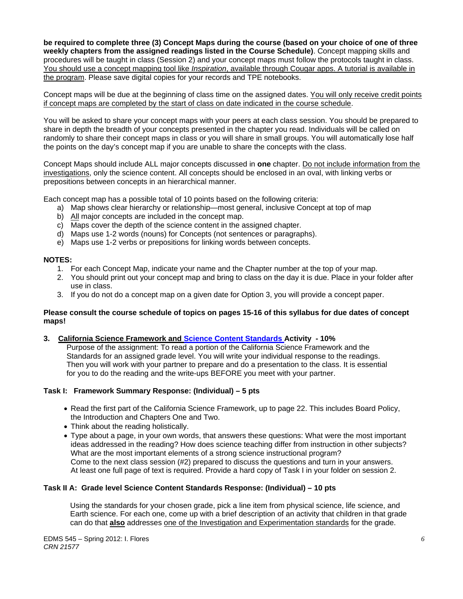**be required to complete three (3) Concept Maps during the course (based on your choice of one of three weekly chapters from the assigned readings listed in the Course Schedule)**. Concept mapping skills and procedures will be taught in class (Session 2) and your concept maps must follow the protocols taught in class. You should use a concept mapping tool like *Inspiration*, available through Cougar apps. A tutorial is available in the program. Please save digital copies for your records and TPE notebooks.

Concept maps will be due at the beginning of class time on the assigned dates. You will only receive credit points if concept maps are completed by the start of class on date indicated in the course schedule.

You will be asked to share your concept maps with your peers at each class session. You should be prepared to share in depth the breadth of your concepts presented in the chapter you read. Individuals will be called on randomly to share their concept maps in class or you will share in small groups. You will automatically lose half the points on the day's concept map if you are unable to share the concepts with the class.

Concept Maps should include ALL major concepts discussed in **one** chapter. Do not include information from the investigations, only the science content. All concepts should be enclosed in an oval, with linking verbs or prepositions between concepts in an hierarchical manner.

Each concept map has a possible total of 10 points based on the following criteria:

- a) Map shows clear hierarchy or relationship—most general, inclusive Concept at top of map
- b) All major concepts are included in the concept map.
- c) Maps cover the depth of the science content in the assigned chapter.
- d) Maps use 1-2 words (nouns) for Concepts (not sentences or paragraphs).
- e) Maps use 1-2 verbs or prepositions for linking words between concepts.

### **NOTES:**

- 1. For each Concept Map, indicate your name and the Chapter number at the top of your map.
- 2. You should print out your concept map and bring to class on the day it is due. Place in your folder after use in class.
- 3. If you do not do a concept map on a given date for Option 3, you will provide a concept paper.

#### **Please consult the course schedule of topics on pages 15-16 of this syllabus for due dates of concept maps!**

#### **3. California Science Framework and Science Content Standards Activity - 10%**

 Purpose of the assignment: To read a portion of the California Science Framework and the Standards for an assigned grade level. You will write your individual response to the readings. Then you will work with your partner to prepare and do a presentation to the class. It is essential for you to do the reading and the write-ups BEFORE you meet with your partner.

#### **Task I: Framework Summary Response: (Individual) – 5 pts**

- Read the first part of the California Science Framework, up to page 22. This includes Board Policy, the Introduction and Chapters One and Two.
- Think about the reading holistically.
- Type about a page, in your own words, that answers these questions: What were the most important ideas addressed in the reading? How does science teaching differ from instruction in other subjects? What are the most important elements of a strong science instructional program? Come to the next class session (#2) prepared to discuss the questions and turn in your answers. At least one full page of text is required. Provide a hard copy of Task I in your folder on session 2.

#### **Task II A: Grade level Science Content Standards Response: (Individual) – 10 pts**

 Using the standards for your chosen grade, pick a line item from physical science, life science, and Earth science. For each one, come up with a brief description of an activity that children in that grade can do that **also** addresses one of the Investigation and Experimentation standards for the grade.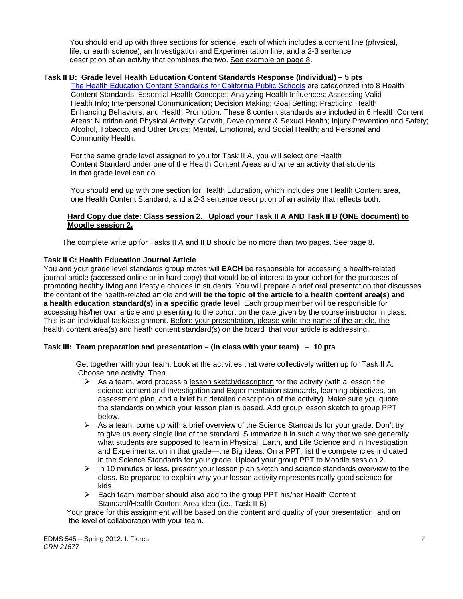You should end up with three sections for science, each of which includes a content line (physical, life, or earth science), an Investigation and Experimentation line, and a 2-3 sentence description of an activity that combines the two. See example on page 8.

### **Task II B: Grade level Health Education Content Standards Response (Individual) – 5 pts**

Enhancing Behaviors; and Health Promotion. These 8 content standards are included in 6 Health Content Alcohol, Tobacco, and Other Drugs; Mental, Emotional, and Social Health; and Personal and The Health Education Content Standards for California Public Schools are categorized into 8 Health Content Standards: Essential Health Concepts; Analyzing Health Influences; Assessing Valid Health Info; Interpersonal Communication; Decision Making; Goal Setting; Practicing Health Areas: Nutrition and Physical Activity; Growth, Development & Sexual Health; Injury Prevention and Safety; Community Health.

For the same grade level assigned to you for Task II A, you will select one Health Content Standard under one of the Health Content Areas and write an activity that students in that grade level can do.

You should end up with one section for Health Education, which includes one Health Content area, one Health Content Standard, and a 2-3 sentence description of an activity that reflects both.

### **Hard Copy due date: Class session 2. Upload your Task II A AND Task II B (ONE document) to Moodle session 2.**

The complete write up for Tasks II A and II B should be no more than two pages. See page 8.

### **Task II C: Health Education Journal Article**

journal article (accessed online or in hard copy) that would be of interest to your cohort for the purposes of You and your grade level standards group mates will **EACH** be responsible for accessing a health-related promoting healthy living and lifestyle choices in students. You will prepare a brief oral presentation that discusses the content of the health-related article and **will tie the topic of the article to a health content area(s) and a health education standard(s) in a specific grade level**. Each group member will be responsible for accessing his/her own article and presenting to the cohort on the date given by the course instructor in class. This is an individual task/assignment. Before your presentation, please write the name of the article, the health content area(s) and heath content standard(s) on the board that your article is addressing.

### **Task III: Team preparation and presentation – (in class with your team)** – **10 pts**

 Get together with your team. Look at the activities that were collectively written up for Task II A. Choose one activity. Then…

- $\triangleright$  As a team, word process a lesson sketch/description for the activity (with a lesson title, science content and Investigation and Experimentation standards, learning objectives, an assessment plan, and a brief but detailed description of the activity). Make sure you quote the standards on which your lesson plan is based. Add group lesson sketch to group PPT below.
- $\triangleright$  As a team, come up with a brief overview of the Science Standards for your grade. Don't try to give us every single line of the standard. Summarize it in such a way that we see generally what students are supposed to learn in Physical, Earth, and Life Science and in Investigation and Experimentation in that grade—the Big ideas. On a PPT, list the competencies indicated in the Science Standards for your grade. Upload your group PPT to Moodle session 2.
- $\triangleright$  In 10 minutes or less, present your lesson plan sketch and science standards overview to the class. Be prepared to explain why your lesson activity represents really good science for kids.
- $\triangleright$  Each team member should also add to the group PPT his/her Health Content Standard/Health Content Area idea (i.e., Task II B)

 Your grade for this assignment will be based on the content and quality of your presentation, and on the level of collaboration with your team.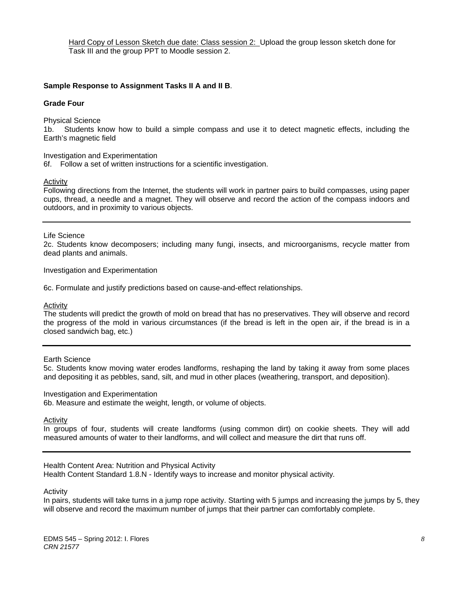Hard Copy of Lesson Sketch due date: Class session 2: Upload the group lesson sketch done for Task III and the group PPT to Moodle session 2.

#### **Sample Response to Assignment Tasks II A and II B**.

#### **Grade Four**

Physical Science

1b. Students know how to build a simple compass and use it to detect magnetic effects, including the Earth's magnetic field

Investigation and Experimentation

6f. Follow a set of written instructions for a scientific investigation.

#### Activity

Following directions from the Internet, the students will work in partner pairs to build compasses, using paper cups, thread, a needle and a magnet. They will observe and record the action of the compass indoors and outdoors, and in proximity to various objects.

#### Life Science

2c. Students know decomposers; including many fungi, insects, and microorganisms, recycle matter from dead plants and animals.

Investigation and Experimentation

6c. Formulate and justify predictions based on cause-and-effect relationships.

#### Activity

 the progress of the mold in various circumstances (if the bread is left in the open air, if the bread is in a The students will predict the growth of mold on bread that has no preservatives. They will observe and record closed sandwich bag, etc.)

#### Earth Science

5c. Students know moving water erodes landforms, reshaping the land by taking it away from some places and depositing it as pebbles, sand, silt, and mud in other places (weathering, transport, and deposition).

#### Investigation and Experimentation

6b. Measure and estimate the weight, length, or volume of objects.

#### Activity

In groups of four, students will create landforms (using common dirt) on cookie sheets. They will add measured amounts of water to their landforms, and will collect and measure the dirt that runs off.

Health Content Area: Nutrition and Physical Activity

Health Content Standard 1.8.N - Identify ways to increase and monitor physical activity*.* 

#### Activity

In pairs, students will take turns in a jump rope activity. Starting with 5 jumps and increasing the jumps by 5, they will observe and record the maximum number of jumps that their partner can comfortably complete.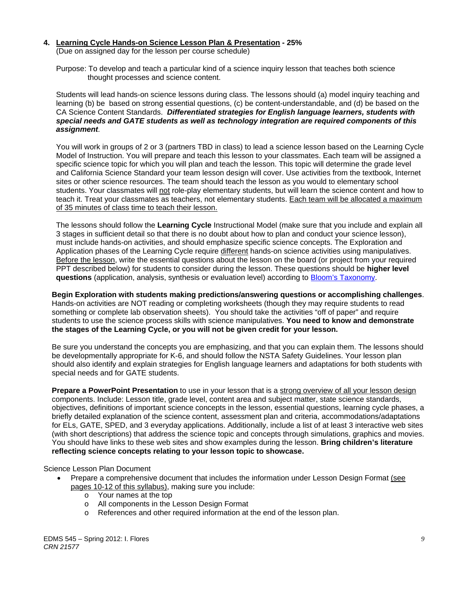#### **4. Learning Cycle Hands-on Science Lesson Plan & Presentation - 25%**

(Due on assigned day for the lesson per course schedule)

 Purpose: To develop and teach a particular kind of a science inquiry lesson that teaches both science thought processes and science content.

 Students will lead hands-on science lessons during class. The lessons should (a) model inquiry teaching and learning (b) be based on strong essential questions, (c) be content-understandable, and (d) be based on the CA Science Content Standards. *Differentiated strategies for English language learners, students with special needs and GATE students as well as technology integration are required components of this assignment.*

 You will work in groups of 2 or 3 (partners TBD in class) to lead a science lesson based on the Learning Cycle Model of Instruction. You will prepare and teach this lesson to your classmates. Each team will be assigned a specific science topic for which you will plan and teach the lesson. This topic will determine the grade level and California Science Standard your team lesson design will cover. Use activities from the textbook, Internet sites or other science resources. The team should teach the lesson as you would to elementary school students. Your classmates will not role-play elementary students, but will learn the science content and how to teach it. Treat your classmates as teachers, not elementary students. Each team will be allocated a maximum of 35 minutes of class time to teach their lesson.

 The lessons should follow the **Learning Cycle** Instructional Model (make sure that you include and explain all 3 stages in sufficient detail so that there is no doubt about how to plan and conduct your science lesson), must include hands-on activities, and should emphasize specific science concepts. The Exploration and Application phases of the Learning Cycle require different hands-on science activities using manipulatives. Before the lesson, write the essential questions about the lesson on the board (or project from your required PPT described below) for students to consider during the lesson. These questions should be **higher level questions** (application, analysis, synthesis or evaluation level) according to Bloom's Taxonomy.

**Begin Exploration with students making predictions/answering questions or accomplishing challenges**. Hands-on activities are NOT reading or completing worksheets (though they may require students to read something or complete lab observation sheets). You should take the activities "off of paper" and require students to use the science process skills with science manipulatives. **You need to know and demonstrate the stages of the Learning Cycle, or you will not be given credit for your lesson.**

 Be sure you understand the concepts you are emphasizing, and that you can explain them. The lessons should be developmentally appropriate for K-6, and should follow the NSTA Safety Guidelines. Your lesson plan should also identify and explain strategies for English language learners and adaptations for both students with special needs and for GATE students.

**Prepare a PowerPoint Presentation** to use in your lesson that is a strong overview of all your lesson design components. Include: Lesson title, grade level, content area and subject matter, state science standards, objectives, definitions of important science concepts in the lesson, essential questions, learning cycle phases, a briefly detailed explanation of the science content, assessment plan and criteria, accommodations/adaptations for ELs, GATE, SPED, and 3 everyday applications. Additionally, include a list of at least 3 interactive web sites (with short descriptions) that address the science topic and concepts through simulations, graphics and movies. You should have links to these web sites and show examples during the lesson. **Bring children's literature reflecting science concepts relating to your lesson topic to showcase.** 

#### Science Lesson Plan Document

- Prepare a comprehensive document that includes the information under Lesson Design Format (see pages 10-12 of this syllabus), making sure you include:
	- o Your names at the top
	- o All components in the Lesson Design Format
	- o References and other required information at the end of the lesson plan.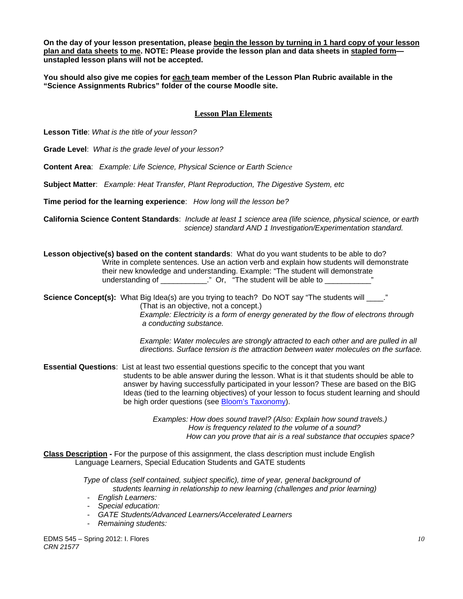**On the day of your lesson presentation, please begin the lesson by turning in 1 hard copy of your lesson plan and data sheets to me. NOTE: Please provide the lesson plan and data sheets in stapled form unstapled lesson plans will not be accepted.** 

**You should also give me copies for each team member of the Lesson Plan Rubric available in the "Science Assignments Rubrics" folder of the course Moodle site.** 

### **Lesson Plan Elements**

**Lesson Title**: *What is the title of your lesson?* 

**Grade Level**: *What is the grade level of your lesson?* 

**Content Area**: *Example: Life Science, Physical Science or Earth Science* 

**Subject Matter**: *Example: Heat Transfer, Plant Reproduction, The Digestive System, etc* 

**Time period for the learning experience**: *How long will the lesson be?* 

**California Science Content Standards**: *Include at least 1 science area (life science, physical science, or earth science) standard AND 1 Investigation/Experimentation standard.* 

**Lesson objective(s) based on the content standards**: What do you want students to be able to do? Write in complete sentences. Use an action verb and explain how students will demonstrate their new knowledge and understanding. Example: "The student will demonstrate understanding of \_\_\_\_\_\_\_\_\_\_\_\_." Or, "The student will be able to \_\_\_\_\_\_\_\_\_\_\_\_\_'

**Science Concept(s):** What Big Idea(s) are you trying to teach? Do NOT say "The students will \_\_\_\_." (That is an objective, not a concept.) *Example: Electricity is a form of energy generated by the flow of electrons through a conducting substance.* 

> *Example: Water molecules are strongly attracted to each other and are pulled in all directions. Surface tension is the attraction between water molecules on the surface.*

 **Essential Questions**: List at least two essential questions specific to the concept that you want students to be able answer during the lesson. What is it that students should be able to answer by having successfully participated in your lesson? These are based on the BIG Ideas (tied to the learning objectives) of your lesson to focus student learning and should be high order questions (see Bloom's Taxonomy).

> *Examples: How does sound travel? (Also: Explain how sound travels.) How is frequency related to the volume of a sound? How can you prove that air is a real substance that occupies space?*

**Class Description -** For the purpose of this assignment, the class description must include English Language Learners, Special Education Students and GATE students

> *Type of class (self contained, subject specific), time of year, general background of students learning in relationship to new learning (challenges and prior learning)*

- *English Learners:*
- *Special education:*
- *GATE Students/Advanced Learners/Accelerated Learners*
- *Remaining students:*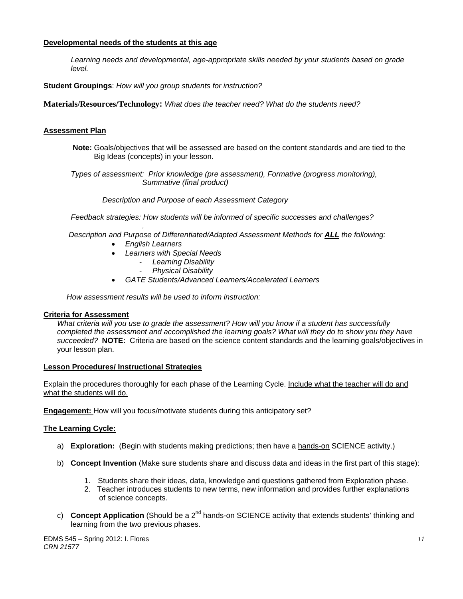### **Developmental needs of the students at this age**

*Learning needs and developmental, age-appropriate skills needed by your students based on grade level.* 

**Student Groupings**: *How will you group students for instruction?* 

**Materials/Resources/Technology:** *What does the teacher need? What do the students need?* 

## **Assessment Plan**

**Note:** Goals/objectives that will be assessed are based on the content standards and are tied to the Big Ideas (concepts) in your lesson.

 *Types of assessment: Prior knowledge (pre assessment), Formative (progress monitoring), Summative (final product)* 

 *Description and Purpose of each Assessment Category* 

 *Feedback strategies: How students will be informed of specific successes and challenges?* 

*. Description and Purpose of Differentiated/Adapted Assessment Methods for ALL the following:* 

- *English Learners*
- *Learners with Special Needs* 
	- *Learning Disability*
	- *Physical Disability*
- *GATE Students/Advanced Learners/Accelerated Learners*

 *How assessment results will be used to inform instruction:* 

#### **Criteria for Assessment**

 *succeeded?* **NOTE:** Criteria are based on the science content standards and the learning goals/objectives in *What criteria will you use to grade the assessment? How will you know if a student has successfully completed the assessment and accomplished the learning goals? What will they do to show you they have*  your lesson plan.

### **Lesson Procedures/ Instructional Strategies**

what the students will do. Explain the procedures thoroughly for each phase of the Learning Cycle. Include what the teacher will do and

**Engagement:** How will you focus/motivate students during this anticipatory set?

### **The Learning Cycle:**

- a) **Exploration:** (Begin with students making predictions; then have a hands-on SCIENCE activity.)
- b) **Concept Invention** (Make sure students share and discuss data and ideas in the first part of this stage):
	- 1. Students share their ideas, data, knowledge and questions gathered from Exploration phase.
	- 2. Teacher introduces students to new terms, new information and provides further explanations of science concepts.
- c) **Concept Application** (Should be a 2<sup>nd</sup> hands-on SCIENCE activity that extends students' thinking and learning from the two previous phases.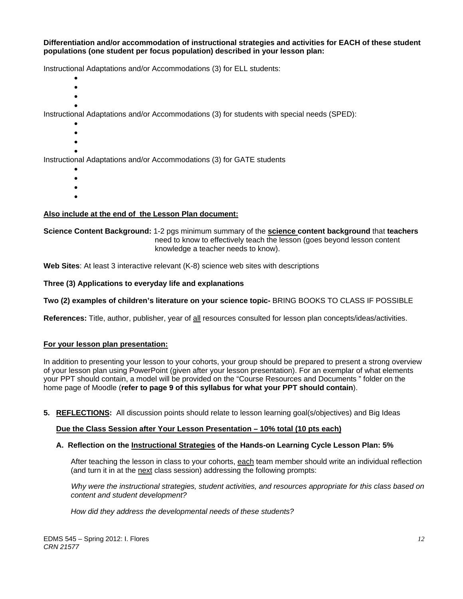#### **Differentiation and/or accommodation of instructional strategies and activities for EACH of these student populations (one student per focus population) described in your lesson plan:**

Instructional Adaptations and/or Accommodations (3) for ELL students:

- $\bullet$
- $\bullet$
- $\bullet$  $\bullet$

Instructional Adaptations and/or Accommodations (3) for students with special needs (SPED):

- $\bullet$
- $\bullet$
- $\bullet$

 $\bullet$ Instructional Adaptations and/or Accommodations (3) for GATE students

- $\bullet$
- $\bullet$
- $\bullet$
- $\bullet$

### **Also include at the end of the Lesson Plan document:**

#### **Science Content Background:** 1-2 pgs minimum summary of the **science content background** that **teachers** need to know to effectively teach the lesson (goes beyond lesson content knowledge a teacher needs to know).

**Web Sites**: At least 3 interactive relevant (K-8) science web sites with descriptions

### Three (3) Applications to everyday life and explanations

### Two (2) examples of children's literature on your science topic- BRING BOOKS TO CLASS IF POSSIBLE

**References:** Title, author, publisher, year of all resources consulted for lesson plan concepts/ideas/activities.

#### **For your lesson plan presentation:**

In addition to presenting your lesson to your cohorts, your group should be prepared to present a strong overview of your lesson plan using PowerPoint (given after your lesson presentation). For an exemplar of what elements your PPT should contain, a model will be provided on the "Course Resources and Documents " folder on the home page of Moodle (**refer to page 9 of this syllabus for what your PPT should contain**).

**5. REFLECTIONS:** All discussion points should relate to lesson learning goal(s/objectives) and Big Ideas

### **Due the Class Session after Your Lesson Presentation – 10% total (10 pts each)**

#### **A. Reflection on the Instructional Strategies of the Hands-on Learning Cycle Lesson Plan: 5%**

After teaching the lesson in class to your cohorts, <u>each</u> team member should write an individual reflection (and turn it in at the <u>next</u> class session) addressing the following prompts:

content and student development?  *Why were the instructional strategies, student activities, and resources appropriate for this class based on* 

*content and student development? How did they address the developmental needs of these students?*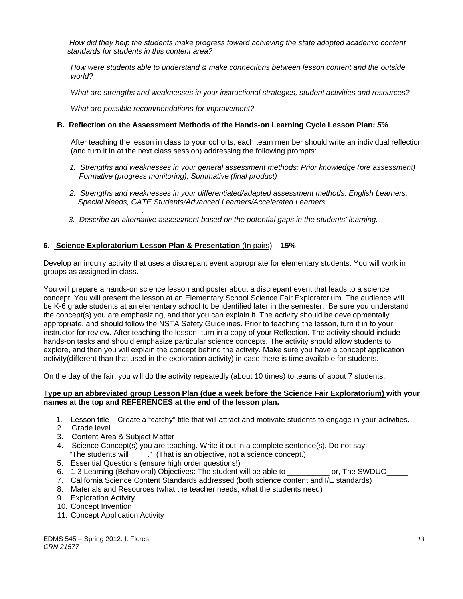standards for students in this content area?  *How did they help the students make progress toward achieving the state adopted academic content* 

*standards for students in this content area? How were students able to understand & make connections between lesson content and the outside world?* 

*What are strengths and weaknesses in your instructional strategies, student activities and resources?* 

 *What are possible recommendations for improvement?* 

#### **B. Reflection on the Assessment Methods of the Hands-on Learning Cycle Lesson Plan***: 5%*

After teaching the lesson in class to your cohorts, each team member should write an individual reflection (and turn it in at the next class session) addressing the following prompts:

- 1. Strengths and weaknesses in your general assessment methods: Prior knowledge (pre assessment)  *Formative (progress monitoring), Summative (final product)*
- *2. Strengths and weaknesses in your differentiated/adapted assessment methods: English Learners, Special Needs, GATE Students/Advanced Learners/Accelerated Learners*
- *3. Describe an alternative assessment based on the potential gaps in the students' learning.*

#### **6. Science Exploratorium Lesson Plan & Presentation** (In pairs) – **15%**

*.*

Develop an inquiry activity that uses a discrepant event appropriate for elementary students. You will work in groups as assigned in class.

You will prepare a hands-on science lesson and poster about a discrepant event that leads to a science concept. You will present the lesson at an Elementary School Science Fair Exploratorium. The audience will be K-6 grade students at an elementary school to be identified later in the semester. Be sure you understand the concept(s) you are emphasizing, and that you can explain it. The activity should be developmentally appropriate, and should follow the NSTA Safety Guidelines. Prior to teaching the lesson, turn it in to your instructor for review. After teaching the lesson, turn in a copy of your Reflection. The activity should include hands-on tasks and should emphasize particular science concepts. The activity should allow students to explore, and then you will explain the concept behind the activity. Make sure you have a concept application activity(different than that used in the exploration activity) in case there is time available for students.

On the day of the fair, you will do the activity repeatedly (about 10 times) to teams of about 7 students.

#### **Type up an abbreviated group Lesson Plan (due a week before the Science Fair Exploratorium) with your names at the top and REFERENCES at the end of the lesson plan.**

- 1. Lesson title Create a "catchy" title that will attract and motivate students to engage in your activities.
- 2. Grade level
- 3. Content Area & Subject Matter
- 4. Science Concept(s) you are teaching. Write it out in a complete sentence(s). Do not say, "The students will \_\_\_\_." (That is an objective, not a science concept.)
- 5. Essential Questions (ensure high order questions!)
- 6. 1-3 Learning (Behavioral) Objectives: The student will be able to example or, The SWDUO
- 7. California Science Content Standards addressed (both science content and I/E standards)
- 8. Materials and Resources (what the teacher needs; what the students need)
- 9. Exploration Activity
- 10. Concept Invention
- 11. Concept Application Activity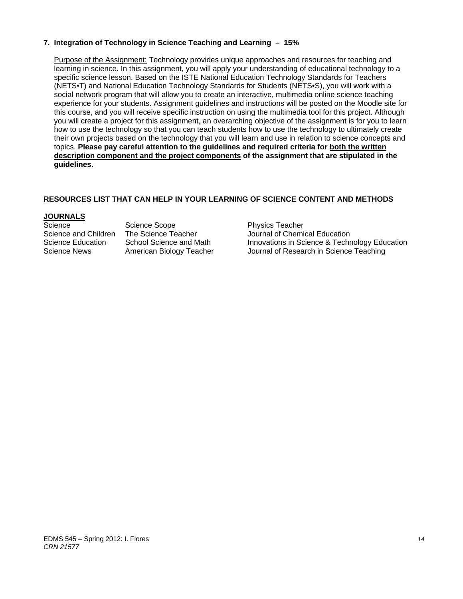### **7. Integration of Technology in Science Teaching and Learning – 15%**

 Purpose of the Assignment: Technology provides unique approaches and resources for teaching and learning in science. In this assignment, you will apply your understanding of educational technology to a specific science lesson. Based on the ISTE National Education Technology Standards for Teachers (NETS•T) and National Education Technology Standards for Students (NETS•S), you will work with a social network program that will allow you to create an interactive, multimedia online science teaching experience for your students. Assignment guidelines and instructions will be posted on the Moodle site for this course, and you will receive specific instruction on using the multimedia tool for this project. Although you will create a project for this assignment, an overarching objective of the assignment is for you to learn how to use the technology so that you can teach students how to use the technology to ultimately create their own projects based on the technology that you will learn and use in relation to science concepts and topics. **Please pay careful attention to the guidelines and required criteria for both the written description component and the project components of the assignment that are stipulated in the guidelines.** 

# **RESOURCES LIST THAT CAN HELP IN YOUR LEARNING OF SCIENCE CONTENT AND METHODS**

### **JOURNALS**

Science Scope Science Scope<br>Science and Children The Science Teacher Science Scurnal of Chemic

Science and Children The Science Teacher Journal of Chemical Education Science Education School Science and Math Innovations in Science & Technology Education Science News American Biology Teacher Journal of Research in Science Teaching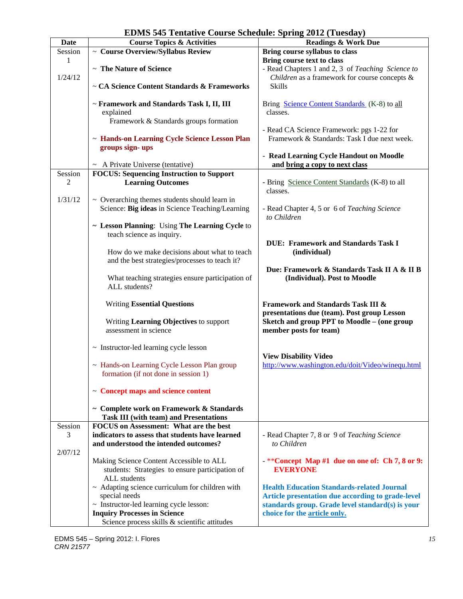| <b>Date</b> | <b>Course Topics &amp; Activities</b>                | $\frac{1}{2}$ $\frac{1}{2}$ $\frac{1}{2}$ $\frac{1}{2}$ $\frac{1}{2}$ $\frac{1}{2}$ $\frac{1}{2}$ $\frac{1}{2}$ $\frac{1}{2}$ $\frac{1}{2}$ $\frac{1}{2}$ $\frac{1}{2}$ $\frac{1}{2}$ $\frac{1}{2}$ $\frac{1}{2}$ $\frac{1}{2}$ $\frac{1}{2}$ $\frac{1}{2}$ $\frac{1}{2}$ $\frac{1}{2}$ $\frac{1}{2}$ $\frac{1}{2}$<br>-., ,<br><b>Readings &amp; Work Due</b> |  |
|-------------|------------------------------------------------------|----------------------------------------------------------------------------------------------------------------------------------------------------------------------------------------------------------------------------------------------------------------------------------------------------------------------------------------------------------------|--|
| Session     | $\sim$ Course Overview/Syllabus Review               | Bring course syllabus to class                                                                                                                                                                                                                                                                                                                                 |  |
| 1           |                                                      | Bring course text to class                                                                                                                                                                                                                                                                                                                                     |  |
|             |                                                      |                                                                                                                                                                                                                                                                                                                                                                |  |
|             | ~ The Nature of Science                              | - Read Chapters 1 and 2, 3 of Teaching Science to                                                                                                                                                                                                                                                                                                              |  |
| 1/24/12     |                                                      | Children as a framework for course concepts &                                                                                                                                                                                                                                                                                                                  |  |
|             | ~ CA Science Content Standards & Frameworks          | <b>Skills</b>                                                                                                                                                                                                                                                                                                                                                  |  |
|             |                                                      |                                                                                                                                                                                                                                                                                                                                                                |  |
|             | ~ Framework and Standards Task I, II, III            | Bring Science Content Standards (K-8) to all                                                                                                                                                                                                                                                                                                                   |  |
|             | explained                                            | classes.                                                                                                                                                                                                                                                                                                                                                       |  |
|             | Framework & Standards groups formation               |                                                                                                                                                                                                                                                                                                                                                                |  |
|             |                                                      | - Read CA Science Framework: pgs 1-22 for                                                                                                                                                                                                                                                                                                                      |  |
|             | ~ Hands-on Learning Cycle Science Lesson Plan        | Framework & Standards: Task I due next week.                                                                                                                                                                                                                                                                                                                   |  |
|             | groups sign-ups                                      |                                                                                                                                                                                                                                                                                                                                                                |  |
|             |                                                      |                                                                                                                                                                                                                                                                                                                                                                |  |
|             |                                                      | - Read Learning Cycle Handout on Moodle                                                                                                                                                                                                                                                                                                                        |  |
|             | $\sim$ A Private Universe (tentative)                | and bring a copy to next class                                                                                                                                                                                                                                                                                                                                 |  |
| Session     | <b>FOCUS: Sequencing Instruction to Support</b>      |                                                                                                                                                                                                                                                                                                                                                                |  |
| 2           | <b>Learning Outcomes</b>                             | - Bring Science Content Standards (K-8) to all                                                                                                                                                                                                                                                                                                                 |  |
|             |                                                      | classes.                                                                                                                                                                                                                                                                                                                                                       |  |
| 1/31/12     | $\sim$ Overarching themes students should learn in   |                                                                                                                                                                                                                                                                                                                                                                |  |
|             | Science: Big ideas in Science Teaching/Learning      | - Read Chapter 4, 5 or 6 of Teaching Science                                                                                                                                                                                                                                                                                                                   |  |
|             |                                                      | to Children                                                                                                                                                                                                                                                                                                                                                    |  |
|             |                                                      |                                                                                                                                                                                                                                                                                                                                                                |  |
|             | ~ Lesson Planning: Using The Learning Cycle to       |                                                                                                                                                                                                                                                                                                                                                                |  |
|             | teach science as inquiry.                            |                                                                                                                                                                                                                                                                                                                                                                |  |
|             |                                                      | <b>DUE: Framework and Standards Task I</b>                                                                                                                                                                                                                                                                                                                     |  |
|             | How do we make decisions about what to teach         | (individual)                                                                                                                                                                                                                                                                                                                                                   |  |
|             | and the best strategies/processes to teach it?       |                                                                                                                                                                                                                                                                                                                                                                |  |
|             |                                                      | Due: Framework & Standards Task II A & II B                                                                                                                                                                                                                                                                                                                    |  |
|             | What teaching strategies ensure participation of     | (Individual). Post to Moodle                                                                                                                                                                                                                                                                                                                                   |  |
|             | ALL students?                                        |                                                                                                                                                                                                                                                                                                                                                                |  |
|             |                                                      |                                                                                                                                                                                                                                                                                                                                                                |  |
|             | <b>Writing Essential Questions</b>                   | <b>Framework and Standards Task III &amp;</b>                                                                                                                                                                                                                                                                                                                  |  |
|             |                                                      |                                                                                                                                                                                                                                                                                                                                                                |  |
|             |                                                      | presentations due (team). Post group Lesson                                                                                                                                                                                                                                                                                                                    |  |
|             | Writing Learning Objectives to support               | Sketch and group PPT to Moodle - (one group                                                                                                                                                                                                                                                                                                                    |  |
|             | assessment in science                                | member posts for team)                                                                                                                                                                                                                                                                                                                                         |  |
|             |                                                      |                                                                                                                                                                                                                                                                                                                                                                |  |
|             | ~ Instructor-led learning cycle lesson               |                                                                                                                                                                                                                                                                                                                                                                |  |
|             |                                                      | <b>View Disability Video</b>                                                                                                                                                                                                                                                                                                                                   |  |
|             | ~ Hands-on Learning Cycle Lesson Plan group          | http://www.washington.edu/doit/Video/winequ.html                                                                                                                                                                                                                                                                                                               |  |
|             | formation (if not done in session 1)                 |                                                                                                                                                                                                                                                                                                                                                                |  |
|             |                                                      |                                                                                                                                                                                                                                                                                                                                                                |  |
|             | $\sim$ Concept maps and science content              |                                                                                                                                                                                                                                                                                                                                                                |  |
|             |                                                      |                                                                                                                                                                                                                                                                                                                                                                |  |
|             |                                                      |                                                                                                                                                                                                                                                                                                                                                                |  |
|             | ~ Complete work on Framework & Standards             |                                                                                                                                                                                                                                                                                                                                                                |  |
|             | <b>Task III (with team) and Presentations</b>        |                                                                                                                                                                                                                                                                                                                                                                |  |
| Session     | <b>FOCUS</b> on Assessment: What are the best        |                                                                                                                                                                                                                                                                                                                                                                |  |
| 3           | indicators to assess that students have learned      | - Read Chapter 7, 8 or 9 of Teaching Science                                                                                                                                                                                                                                                                                                                   |  |
|             | and understood the intended outcomes?                | to Children                                                                                                                                                                                                                                                                                                                                                    |  |
| 2/07/12     |                                                      |                                                                                                                                                                                                                                                                                                                                                                |  |
|             | Making Science Content Accessible to ALL             | -**Concept Map #1 due on one of: Ch 7, 8 or 9:                                                                                                                                                                                                                                                                                                                 |  |
|             | students: Strategies to ensure participation of      | <b>EVERYONE</b>                                                                                                                                                                                                                                                                                                                                                |  |
|             | ALL students                                         |                                                                                                                                                                                                                                                                                                                                                                |  |
|             | $\sim$ Adapting science curriculum for children with | <b>Health Education Standards-related Journal</b>                                                                                                                                                                                                                                                                                                              |  |
|             |                                                      |                                                                                                                                                                                                                                                                                                                                                                |  |
|             | special needs                                        | Article presentation due according to grade-level                                                                                                                                                                                                                                                                                                              |  |
|             | ~ Instructor-led learning cycle lesson:              | standards group. Grade level standard(s) is your                                                                                                                                                                                                                                                                                                               |  |
|             | <b>Inquiry Processes in Science</b>                  | choice for the article only.                                                                                                                                                                                                                                                                                                                                   |  |
|             | Science process skills & scientific attitudes        |                                                                                                                                                                                                                                                                                                                                                                |  |

# **EDMS 545 Tentative Course Schedule: Spring 2012 (Tuesday)**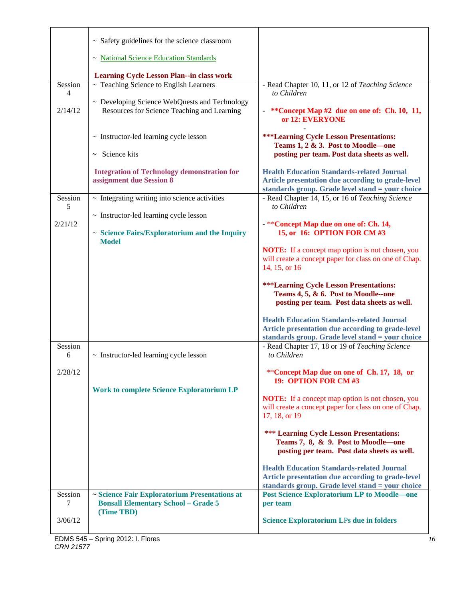|              | $\sim$ Safety guidelines for the science classroom                                                        |                                                                                                                                                            |
|--------------|-----------------------------------------------------------------------------------------------------------|------------------------------------------------------------------------------------------------------------------------------------------------------------|
|              | ~ National Science Education Standards                                                                    |                                                                                                                                                            |
|              | <b>Learning Cycle Lesson Plan--in class work</b>                                                          |                                                                                                                                                            |
| Session<br>4 | ~ Teaching Science to English Learners                                                                    | - Read Chapter 10, 11, or 12 of Teaching Science<br>to Children                                                                                            |
| 2/14/12      | ~ Developing Science WebQuests and Technology<br>Resources for Science Teaching and Learning              | **Concept Map #2 due on one of: Ch. 10, 11,<br>or 12: EVERYONE                                                                                             |
|              | $\sim$ Instructor-led learning cycle lesson                                                               | <b>***Learning Cycle Lesson Presentations:</b><br>Teams 1, 2 & 3. Post to Moodle—one                                                                       |
|              | $\sim$ Science kits                                                                                       | posting per team. Post data sheets as well.                                                                                                                |
|              | <b>Integration of Technology demonstration for</b><br>assignment due Session 8                            | <b>Health Education Standards-related Journal</b><br>Article presentation due according to grade-level<br>standards group. Grade level stand = your choice |
| Session<br>5 | $\sim$ Integrating writing into science activities                                                        | - Read Chapter 14, 15, or 16 of Teaching Science<br>to Children                                                                                            |
| 2/21/12      | $\sim$ Instructor-led learning cycle lesson                                                               | - **Concept Map due on one of: Ch. 14,                                                                                                                     |
|              | $\sim$ Science Fairs/Exploratorium and the Inquiry<br><b>Model</b>                                        | 15, or 16: OPTION FOR CM #3                                                                                                                                |
|              |                                                                                                           | <b>NOTE:</b> If a concept map option is not chosen, you                                                                                                    |
|              |                                                                                                           | will create a concept paper for class on one of Chap.<br>14, 15, or 16                                                                                     |
|              |                                                                                                           | <b>***Learning Cycle Lesson Presentations:</b><br>Teams 4, 5, & 6. Post to Moodle--one<br>posting per team. Post data sheets as well.                      |
|              |                                                                                                           | <b>Health Education Standards-related Journal</b><br>Article presentation due according to grade-level<br>standards group. Grade level stand = your choice |
| Session      |                                                                                                           | - Read Chapter 17, 18 or 19 of Teaching Science                                                                                                            |
| 6            | $\sim$ Instructor-led learning cycle lesson                                                               | to Children                                                                                                                                                |
| 2/28/12      |                                                                                                           | **Concept Map due on one of Ch. 17, 18, or                                                                                                                 |
|              |                                                                                                           | 19: OPTION FOR CM #3                                                                                                                                       |
|              | <b>Work to complete Science Exploratorium LP</b>                                                          | <b>NOTE:</b> If a concept map option is not chosen, you<br>will create a concept paper for class on one of Chap.<br>17, 18, or 19                          |
|              |                                                                                                           | <b>*** Learning Cycle Lesson Presentations:</b><br>Teams 7, 8, & 9. Post to Moodle—one<br>posting per team. Post data sheets as well.                      |
|              |                                                                                                           | <b>Health Education Standards-related Journal</b><br>Article presentation due according to grade-level<br>standards group. Grade level stand = your choice |
| Session<br>7 | ~ Science Fair Exploratorium Presentations at<br><b>Bonsall Elementary School - Grade 5</b><br>(Time TBD) | <b>Post Science Exploratorium LP to Moodle-one</b><br>per team                                                                                             |